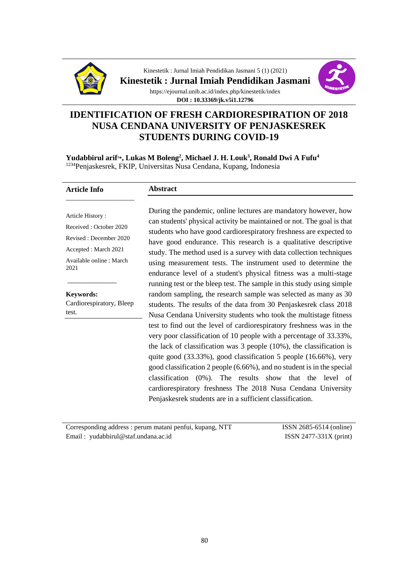

Kinestetik : Jurnal Imiah Pendidikan Jasmani 5 (1) (2021)

**Kinestetik : Jurnal Imiah Pendidikan Jasmani** 



https://ejournal.unib.ac.id/index.php/kinestetik/index **DOI : 10.33369/jk.v5i1.12796**

# **IDENTIFICATION OF FRESH CARDIORESPIRATION OF 2018 NUSA CENDANA UNIVERSITY OF PENJASKESREK STUDENTS DURING COVID-19**

**Yudabbirul arif<sup>1</sup>\*, Lukas M Boleng<sup>2</sup> , Michael J. H. Louk<sup>3</sup> , Ronald Dwi A Fufu<sup>4</sup>** <sup>1234</sup>Penjaskesrek, FKIP, Universitas Nusa Cendana, Kupang, Indonesia

#### **Article Info** \_\_\_\_\_\_\_\_\_\_\_\_\_\_\_\_\_\_\_\_

## **Abstract**

Article History : Received : October 2020 Revised : December 2020 Accepted : March 2021 Available online : March 2021

**Keywords:**

\_\_\_\_\_\_\_\_\_\_\_\_\_

Cardiorespiratory, Bleep test.

During the pandemic, online lectures are mandatory however, how can students' physical activity be maintained or not. The goal is that students who have good cardiorespiratory freshness are expected to have good endurance. This research is a qualitative descriptive study. The method used is a survey with data collection techniques using measurement tests. The instrument used to determine the endurance level of a student's physical fitness was a multi-stage running test or the bleep test. The sample in this study using simple random sampling, the research sample was selected as many as 30 students. The results of the data from 30 Penjaskesrek class 2018 Nusa Cendana University students who took the multistage fitness test to find out the level of cardiorespiratory freshness was in the very poor classification of 10 people with a percentage of 33.33%, the lack of classification was 3 people (10%), the classification is quite good (33.33%), good classification 5 people (16.66%), very good classification 2 people (6.66%), and no student is in the special classification (0%). The results show that the level of cardiorespiratory freshness The 2018 Nusa Cendana University Penjaskesrek students are in a sufficient classification.

Corresponding address : perum matani penfui, kupang, NTT Email : yudabbirul@staf.undana.ac.id

ISSN 2685-6514 (online) ISSN 2477-331X (print)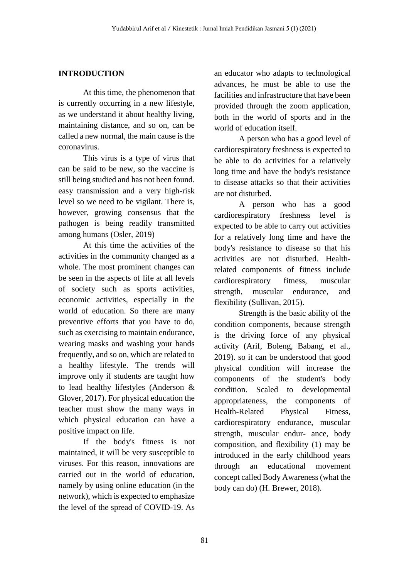#### **INTRODUCTION**

At this time, the phenomenon that is currently occurring in a new lifestyle, as we understand it about healthy living, maintaining distance, and so on, can be called a new normal, the main cause is the coronavirus.

This virus is a type of virus that can be said to be new, so the vaccine is still being studied and has not been found. easy transmission and a very high-risk level so we need to be vigilant. There is, however, growing consensus that the pathogen is being readily transmitted among humans (Osler, 2019)

At this time the activities of the activities in the community changed as a whole. The most prominent changes can be seen in the aspects of life at all levels of society such as sports activities, economic activities, especially in the world of education. So there are many preventive efforts that you have to do, such as exercising to maintain endurance, wearing masks and washing your hands frequently, and so on, which are related to a healthy lifestyle. The trends will improve only if students are taught how to lead healthy lifestyles (Anderson & Glover, 2017). For physical education the teacher must show the many ways in which physical education can have a positive impact on life.

If the body's fitness is not maintained, it will be very susceptible to viruses. For this reason, innovations are carried out in the world of education, namely by using online education (in the network), which is expected to emphasize the level of the spread of COVID-19. As

an educator who adapts to technological advances, he must be able to use the facilities and infrastructure that have been provided through the zoom application, both in the world of sports and in the world of education itself.

A person who has a good level of cardiorespiratory freshness is expected to be able to do activities for a relatively long time and have the body's resistance to disease attacks so that their activities are not disturbed.

A person who has a good cardiorespiratory freshness level is expected to be able to carry out activities for a relatively long time and have the body's resistance to disease so that his activities are not disturbed. Healthrelated components of fitness include cardiorespiratory fitness, muscular strength, muscular endurance, and flexibility (Sullivan, 2015).

Strength is the basic ability of the condition components, because strength is the driving force of any physical activity (Arif, Boleng, Babang, et al., 2019). so it can be understood that good physical condition will increase the components of the student's body condition. Scaled to developmental appropriateness, the components of Health-Related Physical Fitness, cardiorespiratory endurance, muscular strength, muscular endur- ance, body composition, and flexibility (1) may be introduced in the early childhood years through an educational movement concept called Body Awareness (what the body can do) (H. Brewer, 2018).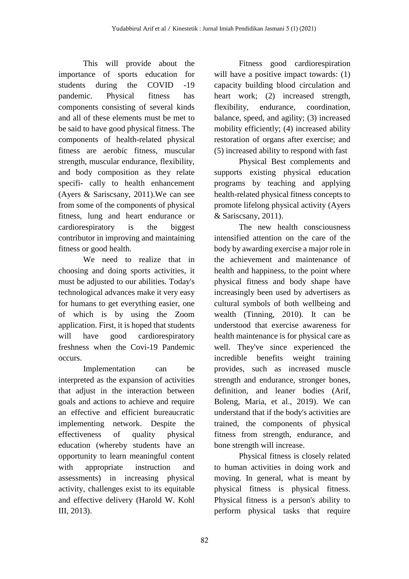This will provide about the importance of sports education for students during the COVID -19 pandemic. Physical fitness has components consisting of several kinds and all of these elements must be met to be said to have good physical fitness. The components of health-related physical fitness are aerobic fitness, muscular strength, muscular endurance, flexibility, and body composition as they relate specifi- cally to health enhancement (Ayers & Sariscsany, 2011).We can see from some of the components of physical fitness, lung and heart endurance or cardiorespiratory is the biggest contributor in improving and maintaining fitness or good health.

We need to realize that in choosing and doing sports activities, it must be adjusted to our abilities. Today's technological advances make it very easy for humans to get everything easier, one of which is by using the Zoom application. First, it is hoped that students will have good cardiorespiratory freshness when the Covi-19 Pandemic occurs.

Implementation can be interpreted as the expansion of activities that adjust in the interaction between goals and actions to achieve and require an effective and efficient bureaucratic implementing network. Despite the effectiveness of quality physical education (whereby students have an opportunity to learn meaningful content with appropriate instruction and assessments) in increasing physical activity, challenges exist to its equitable and effective delivery (Harold W. Kohl III, 2013).

Fitness good cardiorespiration will have a positive impact towards: (1) capacity building blood circulation and heart work; (2) increased strength, flexibility, endurance, coordination, balance, speed, and agility; (3) increased mobility efficiently; (4) increased ability restoration of organs after exercise; and (5) increased ability to respond with fast

Physical Best complements and supports existing physical education programs by teaching and applying health-related physical fitness concepts to promote lifelong physical activity (Ayers & Sariscsany, 2011).

The new health consciousness intensified attention on the care of the body by awarding exercise a major role in the achievement and maintenance of health and happiness, to the point where physical fitness and body shape have increasingly been used by advertisers as cultural symbols of both wellbeing and wealth (Tinning, 2010). It can be understood that exercise awareness for health maintenance is for physical care as well. They've since experienced the incredible benefits weight training provides, such as increased muscle strength and endurance, stronger bones, definition, and leaner bodies (Arif, Boleng, Maria, et al., 2019). We can understand that if the body's activities are trained, the components of physical fitness from strength, endurance, and bone strength will increase.

Physical fitness is closely related to human activities in doing work and moving. In general, what is meant by physical fitness is physical fitness. Physical fitness is a person's ability to perform physical tasks that require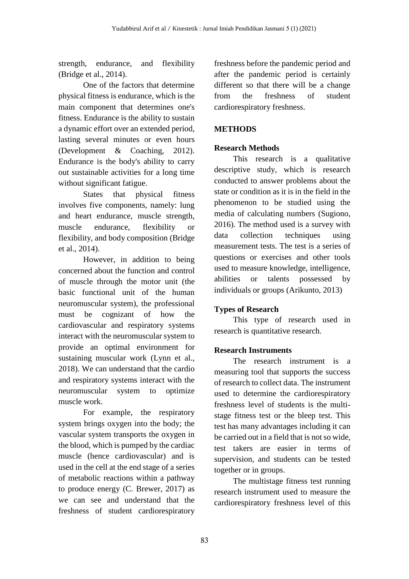strength, endurance, and flexibility (Bridge et al., 2014).

One of the factors that determine physical fitness is endurance, which is the main component that determines one's fitness. Endurance is the ability to sustain a dynamic effort over an extended period, lasting several minutes or even hours (Development & Coaching, 2012). Endurance is the body's ability to carry out sustainable activities for a long time without significant fatigue.

States that physical fitness involves five components, namely: lung and heart endurance, muscle strength, muscle endurance, flexibility or flexibility, and body composition (Bridge et al., 2014).

However, in addition to being concerned about the function and control of muscle through the motor unit (the basic functional unit of the human neuromuscular system), the professional must be cognizant of how the cardiovascular and respiratory systems interact with the neuromuscular system to provide an optimal environment for sustaining muscular work (Lynn et al., 2018). We can understand that the cardio and respiratory systems interact with the neuromuscular system to optimize muscle work.

For example, the respiratory system brings oxygen into the body; the vascular system transports the oxygen in the blood, which is pumped by the cardiac muscle (hence cardiovascular) and is used in the cell at the end stage of a series of metabolic reactions within a pathway to produce energy (C. Brewer, 2017) as we can see and understand that the freshness of student cardiorespiratory freshness before the pandemic period and after the pandemic period is certainly different so that there will be a change from the freshness of student cardiorespiratory freshness.

## **METHODS**

## **Research Methods**

This research is a qualitative descriptive study, which is research conducted to answer problems about the state or condition as it is in the field in the phenomenon to be studied using the media of calculating numbers (Sugiono, 2016). The method used is a survey with data collection techniques using measurement tests. The test is a series of questions or exercises and other tools used to measure knowledge, intelligence, abilities or talents possessed by individuals or groups (Arikunto, 2013)

## **Types of Research**

This type of research used in research is quantitative research.

## **Research Instruments**

The research instrument is a measuring tool that supports the success of research to collect data. The instrument used to determine the cardiorespiratory freshness level of students is the multistage fitness test or the bleep test. This test has many advantages including it can be carried out in a field that is not so wide, test takers are easier in terms of supervision, and students can be tested together or in groups.

The multistage fitness test running research instrument used to measure the cardiorespiratory freshness level of this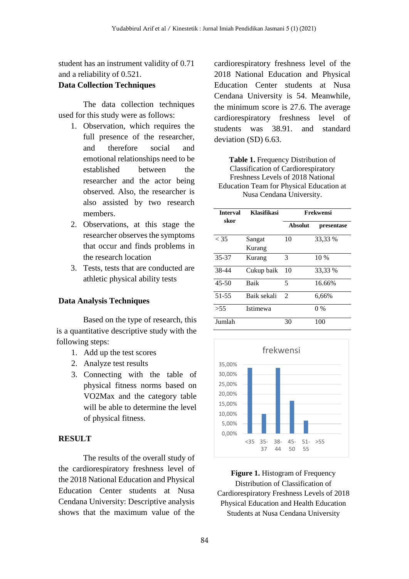student has an instrument validity of 0.71 and a reliability of 0.521.

#### **Data Collection Techniques**

The data collection techniques used for this study were as follows:

- 1. Observation, which requires the full presence of the researcher, and therefore social and emotional relationships need to be established between the researcher and the actor being observed. Also, the researcher is also assisted by two research members.
- 2. Observations, at this stage the researcher observes the symptoms that occur and finds problems in the research location
- 3. Tests, tests that are conducted are athletic physical ability tests

#### **Data Analysis Techniques**

Based on the type of research, this is a quantitative descriptive study with the following steps:

- 1. Add up the test scores
- 2. Analyze test results
- 3. Connecting with the table of physical fitness norms based on VO2Max and the category table will be able to determine the level of physical fitness.

#### **RESULT**

The results of the overall study of the cardiorespiratory freshness level of the 2018 National Education and Physical Education Center students at Nusa Cendana University: Descriptive analysis shows that the maximum value of the cardiorespiratory freshness level of the 2018 National Education and Physical Education Center students at Nusa Cendana University is 54. Meanwhile, the minimum score is 27.6. The average cardiorespiratory freshness level of students was 38.91. and standard deviation (SD) 6.63.

**Table 1.** Frequency Distribution of Classification of Cardiorespiratory Freshness Levels of 2018 National Education Team for Physical Education at Nusa Cendana University.

| <b>Interval</b> | Klasifikasi | Frekwensi      |            |
|-----------------|-------------|----------------|------------|
| skor            |             | <b>Absolut</b> | presentase |
| < 35            | Sangat      | 10             | 33,33 %    |
|                 | Kurang      |                |            |
| 35-37           | Kurang      | 3              | 10 %       |
| 38-44           | Cukup baik  | 10             | 33,33 %    |
| $45 - 50$       | <b>Baik</b> | 5              | 16.66%     |
| $51 - 55$       | Baik sekali | $\mathfrak{D}$ | 6,66%      |
| > 55            | Istimewa    |                | $0\%$      |
| Jumlah          |             | 30             | 100        |



**Figure 1.** Histogram of Frequency Distribution of Classification of Cardiorespiratory Freshness Levels of 2018 Physical Education and Health Education Students at Nusa Cendana University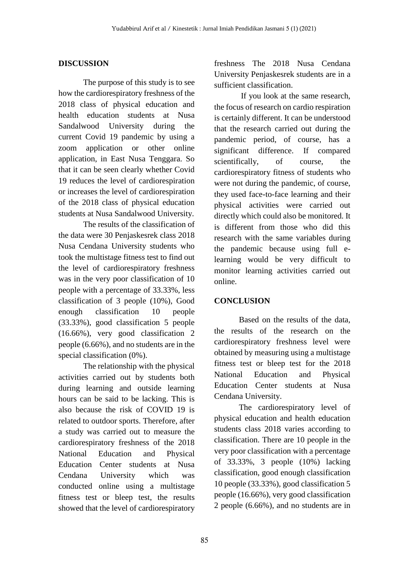#### **DISCUSSION**

The purpose of this study is to see how the cardiorespiratory freshness of the 2018 class of physical education and health education students at Nusa Sandalwood University during the current Covid 19 pandemic by using a zoom application or other online application, in East Nusa Tenggara. So that it can be seen clearly whether Covid 19 reduces the level of cardiorespiration or increases the level of cardiorespiration of the 2018 class of physical education students at Nusa Sandalwood University.

The results of the classification of the data were 30 Penjaskesrek class 2018 Nusa Cendana University students who took the multistage fitness test to find out the level of cardiorespiratory freshness was in the very poor classification of 10 people with a percentage of 33.33%, less classification of 3 people (10%), Good enough classification 10 people (33.33%), good classification 5 people (16.66%), very good classification 2 people (6.66%), and no students are in the special classification (0%).

The relationship with the physical activities carried out by students both during learning and outside learning hours can be said to be lacking. This is also because the risk of COVID 19 is related to outdoor sports. Therefore, after a study was carried out to measure the cardiorespiratory freshness of the 2018 National Education and Physical Education Center students at Nusa Cendana University which was conducted online using a multistage fitness test or bleep test, the results showed that the level of cardiorespiratory freshness The 2018 Nusa Cendana University Penjaskesrek students are in a sufficient classification.

If you look at the same research, the focus of research on cardio respiration is certainly different. It can be understood that the research carried out during the pandemic period, of course, has a significant difference. If compared scientifically, of course, the cardiorespiratory fitness of students who were not during the pandemic, of course, they used face-to-face learning and their physical activities were carried out directly which could also be monitored. It is different from those who did this research with the same variables during the pandemic because using full elearning would be very difficult to monitor learning activities carried out online.

## **CONCLUSION**

Based on the results of the data, the results of the research on the cardiorespiratory freshness level were obtained by measuring using a multistage fitness test or bleep test for the 2018 National Education and Physical Education Center students at Nusa Cendana University.

The cardiorespiratory level of physical education and health education students class 2018 varies according to classification. There are 10 people in the very poor classification with a percentage of 33.33%, 3 people (10%) lacking classification, good enough classification 10 people (33.33%), good classification 5 people (16.66%), very good classification 2 people (6.66%), and no students are in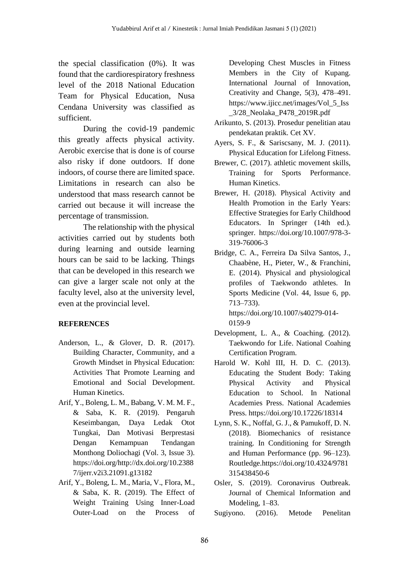the special classification (0%). It was found that the cardiorespiratory freshness level of the 2018 National Education Team for Physical Education, Nusa Cendana University was classified as sufficient.

During the covid-19 pandemic this greatly affects physical activity. Aerobic exercise that is done is of course also risky if done outdoors. If done indoors, of course there are limited space. Limitations in research can also be understood that mass research cannot be carried out because it will increase the percentage of transmission.

The relationship with the physical activities carried out by students both during learning and outside learning hours can be said to be lacking. Things that can be developed in this research we can give a larger scale not only at the faculty level, also at the university level, even at the provincial level.

#### **REFERENCES**

- Anderson, L., & Glover, D. R. (2017). Building Character, Community, and a Growth Mindset in Physical Education: Activities That Promote Learning and Emotional and Social Development. Human Kinetics.
- Arif, Y., Boleng, L. M., Babang, V. M. M. F., & Saba, K. R. (2019). Pengaruh Keseimbangan, Daya Ledak Otot Tungkai, Dan Motivasi Berprestasi Dengan Kemampuan Tendangan Monthong Doliochagi (Vol. 3, Issue 3). https://doi.org/http://dx.doi.org/10.2388 7/ijerr.v2i3.21091.g13182
- Arif, Y., Boleng, L. M., Maria, V., Flora, M., & Saba, K. R. (2019). The Effect of Weight Training Using Inner-Load Outer-Load on the Process of

Developing Chest Muscles in Fitness Members in the City of Kupang. International Journal of Innovation, Creativity and Change, 5(3), 478–491. https://www.ijicc.net/images/Vol\_5\_Iss \_3/28\_Neolaka\_P478\_2019R.pdf

- Arikunto, S. (2013). Prosedur penelitian atau pendekatan praktik. Cet XV.
- Ayers, S. F., & Sariscsany, M. J. (2011). Physical Education for Lifelong Fitness.
- Brewer, C. (2017). athletic movement skills, Training for Sports Performance. Human Kinetics.
- Brewer, H. (2018). Physical Activity and Health Promotion in the Early Years: Effective Strategies for Early Childhood Educators. In Springer (14th ed.). springer. https://doi.org/10.1007/978-3- 319-76006-3
- Bridge, C. A., Ferreira Da Silva Santos, J., Chaabène, H., Pieter, W., & Franchini, E. (2014). Physical and physiological profiles of Taekwondo athletes. In Sports Medicine (Vol. 44, Issue 6, pp. 713–733). https://doi.org/10.1007/s40279-014- 0159-9
- Development, L. A., & Coaching. (2012). Taekwondo for Life. National Coahing Certification Program.
- Harold W. Kohl III, H. D. C. (2013). Educating the Student Body: Taking Physical Activity and Physical Education to School. In National Academies Press. National Academies Press. https://doi.org/10.17226/18314
- Lynn, S. K., Noffal, G. J., & Pamukoff, D. N. (2018). Biomechanics of resistance training. In Conditioning for Strength and Human Performance (pp. 96–123). Routledge.https://doi.org/10.4324/9781 315438450-6
- Osler, S. (2019). Coronavirus Outbreak. Journal of Chemical Information and Modeling, 1–83.

Sugiyono. (2016). Metode Penelitan